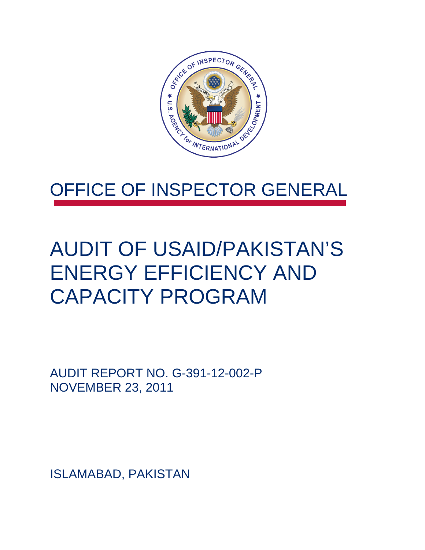

### OFFICE OF INSPECTOR GENERAL

### AUDIT OF USAID/PAKISTAN'S ENERGY EFFICIENCY AND CAPACITY PROGRAM

AUDIT REPORT NO. G-391-12-002-P NOVEMBER 23, 2011

ISLAMABAD, PAKISTAN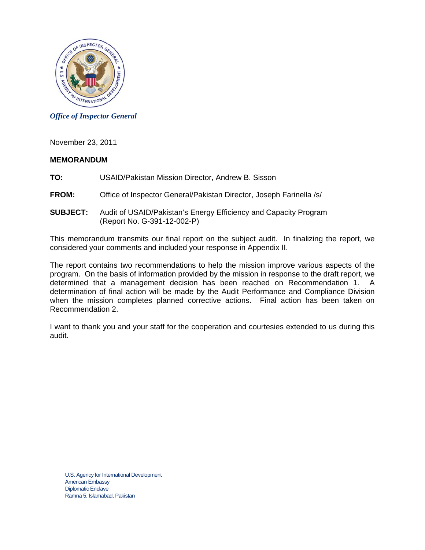

*Office of Inspector General* 

November 23, 2011

#### **MEMORANDUM**

TO: USAID/Pakistan Mission Director, Andrew B. Sisson

- **FROM:** Office of Inspector General/Pakistan Director, Joseph Farinella /s/
- **SUBJECT:** Audit of USAID/Pakistan's Energy Efficiency and Capacity Program (Report No. G-391-12-002-P)

This memorandum transmits our final report on the subject audit. In finalizing the report, we considered your comments and included your response in Appendix II.

The report contains two recommendations to help the mission improve various aspects of the program. On the basis of information provided by the mission in response to the draft report, we determined that a management decision has been reached on Recommendation 1. A determination of final action will be made by the Audit Performance and Compliance Division when the mission completes planned corrective actions. Final action has been taken on Recommendation 2.

I want to thank you and your staff for the cooperation and courtesies extended to us during this audit.

U.S. Agency for International Development American Embassy Diplomatic Enclave Ramna 5, Islamabad, Pakistan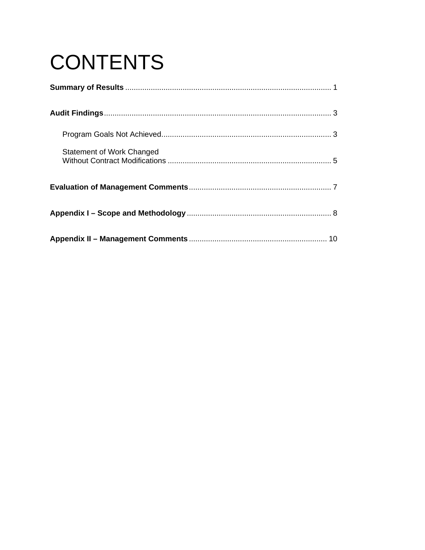# **CONTENTS**

| Statement of Work Changed |
|---------------------------|
|                           |
|                           |
|                           |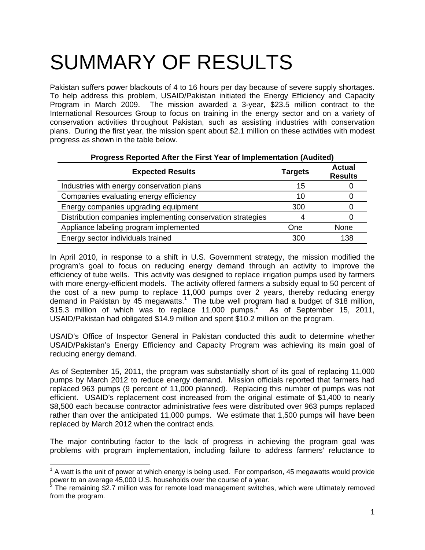## SUMMARY OF RESULTS

Pakistan suffers power blackouts of 4 to 16 hours per day because of severe supply shortages. To help address this problem, USAID/Pakistan initiated the Energy Efficiency and Capacity Program in March 2009. The mission awarded a 3-year, \$23.5 million contract to the International Resources Group to focus on training in the energy sector and on a variety of conservation activities throughout Pakistan, such as assisting industries with conservation plans. During the first year, the mission spent about \$2.1 million on these activities with modest progress as shown in the table below.

**Progress Reported After the First Year of Implementation (Audited)** 

| Progress Reported After the First Year of Implementation (Audited) |                |                                 |
|--------------------------------------------------------------------|----------------|---------------------------------|
| <b>Expected Results</b>                                            | <b>Targets</b> | <b>Actual</b><br><b>Results</b> |
| Industries with energy conservation plans                          | 15             |                                 |
| Companies evaluating energy efficiency                             | 10             |                                 |
| Energy companies upgrading equipment                               | 300            |                                 |
| Distribution companies implementing conservation strategies        |                |                                 |
| Appliance labeling program implemented                             | One            | None                            |
| Energy sector individuals trained                                  | 300            | 138                             |

In April 2010, in response to a shift in U.S. Government strategy, the mission modified the program's goal to focus on reducing energy demand through an activity to improve the efficiency of tube wells. This activity was designed to replace irrigation pumps used by farmers with more energy-efficient models. The activity offered farmers a subsidy equal to 50 percent of the cost of a new pump to replace 11,000 pumps over 2 years, thereby reducing energy demand in Pakistan by 45 megawatts.<sup>1</sup> The tube well program had a budget of \$18 million, \$15.3 million of which was to replace  $11,000$  pumps.<sup>2</sup> As of September 15, 2011, USAID/Pakistan had obligated \$14.9 million and spent \$10.2 million on the program.

USAID's Office of Inspector General in Pakistan conducted this audit to determine whether USAID/Pakistan's Energy Efficiency and Capacity Program was achieving its main goal of reducing energy demand.

As of September 15, 2011, the program was substantially short of its goal of replacing 11,000 pumps by March 2012 to reduce energy demand. Mission officials reported that farmers had replaced 963 pumps (9 percent of 11,000 planned). Replacing this number of pumps was not efficient. USAID's replacement cost increased from the original estimate of \$1,400 to nearly \$8,500 each because contractor administrative fees were distributed over 963 pumps replaced rather than over the anticipated 11,000 pumps. We estimate that 1,500 pumps will have been replaced by March 2012 when the contract ends.

The major contributing factor to the lack of progress in achieving the program goal was problems with program implementation, including failure to address farmers' reluctance to

-

 $1$  A watt is the unit of power at which energy is being used. For comparison, 45 megawatts would provide power to an average 45,000 U.S. households over the course of a year.<br><sup>2</sup> The remaining \$2.7 million was for remate load management quitabo

The remaining \$2.7 million was for remote load management switches, which were ultimately removed from the program.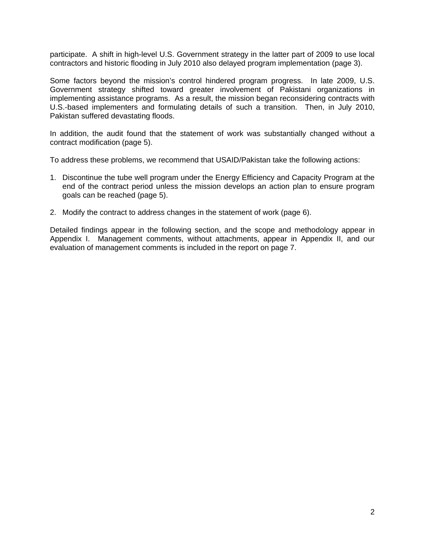participate. A shift in high-level U.S. Government strategy in the latter part of 2009 to use local contractors and historic flooding in July 2010 also delayed program implementation (page 3).

Pakistan suffered devastating floods. Some factors beyond the mission's control hindered program progress. In late 2009, U.S. Government strategy shifted toward greater involvement of Pakistani organizations in implementing assistance programs. As a result, the mission began reconsidering contracts with U.S.-based implementers and formulating details of such a transition. Then, in July 2010,

In addition, the audit found that the statement of work was substantially changed without a contract modification (page 5).

To address these problems, we recommend that USAID/Pakistan take the following actions:

- 1. Discontinue the tube well program under the Energy Efficiency and Capacity Program at the end of the contract period unless the mission develops an action plan to ensure program goals can be reached (page 5).
- 2. Modify the contract to address changes in the statement of work (page 6).

Detailed findings appear in the following section, and the scope and methodology appear in Appendix I. Management comments, without attachments, appear in Appendix II, and our evaluation of management comments is included in the report on page 7.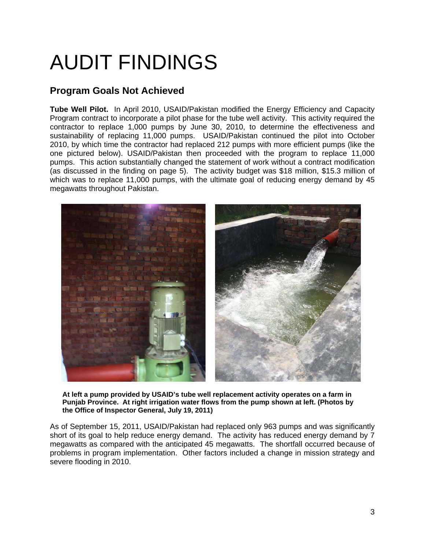## AUDIT FINDINGS

### **Program Goals Not Achieved**

**Tube Well Pilot.** In April 2010, USAID/Pakistan modified the Energy Efficiency and Capacity Program contract to incorporate a pilot phase for the tube well activity. This activity required the contractor to replace 1,000 pumps by June 30, 2010, to determine the effectiveness and sustainability of replacing 11,000 pumps. USAID/Pakistan continued the pilot into October 2010, by which time the contractor had replaced 212 pumps with more efficient pumps (like the one pictured below). USAID/Pakistan then proceeded with the program to replace 11,000 pumps. This action substantially changed the statement of work without a contract modification (as discussed in the finding on page 5). The activity budget was \$18 million, \$15.3 million of which was to replace 11,000 pumps, with the ultimate goal of reducing energy demand by 45 megawatts throughout Pakistan.



**At left a pump provided by USAID's tube well replacement activity operates on a farm in Punjab Province. At right irrigation water flows from the pump shown at left. (Photos by the Office of Inspector General, July 19, 2011)** 

As of September 15, 2011, USAID/Pakistan had replaced only 963 pumps and was significantly short of its goal to help reduce energy demand. The activity has reduced energy demand by 7 megawatts as compared with the anticipated 45 megawatts. The shortfall occurred because of problems in program implementation. Other factors included a change in mission strategy and severe flooding in 2010.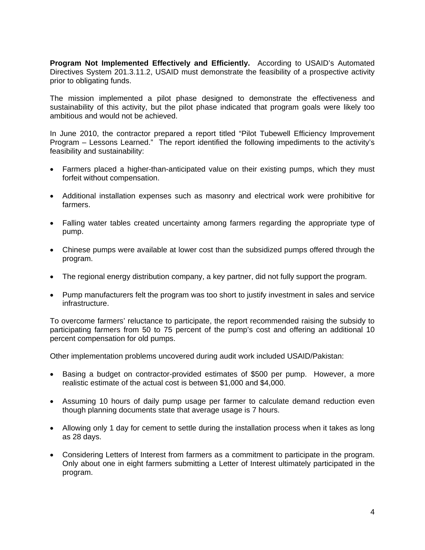**Program Not Implemented Effectively and Efficiently.** According to USAID's Automated Directives System 201.3.11.2, USAID must demonstrate the feasibility of a prospective activity prior to obligating funds.

The mission implemented a pilot phase designed to demonstrate the effectiveness and sustainability of this activity, but the pilot phase indicated that program goals were likely too ambitious and would not be achieved.

In June 2010, the contractor prepared a report titled "Pilot Tubewell Efficiency Improvement Program – Lessons Learned." The report identified the following impediments to the activity's feasibility and sustainability:

- Farmers placed a higher-than-anticipated value on their existing pumps, which they must forfeit without compensation.
- • Additional installation expenses such as masonry and electrical work were prohibitive for farmers.
- Falling water tables created uncertainty among farmers regarding the appropriate type of pump.
- Chinese pumps were available at lower cost than the subsidized pumps offered through the program.
- The regional energy distribution company, a key partner, did not fully support the program.
- Pump manufacturers felt the program was too short to justify investment in sales and service infrastructure.

To overcome farmers' reluctance to participate, the report recommended raising the subsidy to participating farmers from 50 to 75 percent of the pump's cost and offering an additional 10 percent compensation for old pumps.

Other implementation problems uncovered during audit work included USAID/Pakistan:

- Basing a budget on contractor-provided estimates of \$500 per pump. However, a more realistic estimate of the actual cost is between \$1,000 and \$4,000.
- Assuming 10 hours of daily pump usage per farmer to calculate demand reduction even though planning documents state that average usage is 7 hours.
- Allowing only 1 day for cement to settle during the installation process when it takes as long as 28 days.
- Considering Letters of Interest from farmers as a commitment to participate in the program. Only about one in eight farmers submitting a Letter of Interest ultimately participated in the program.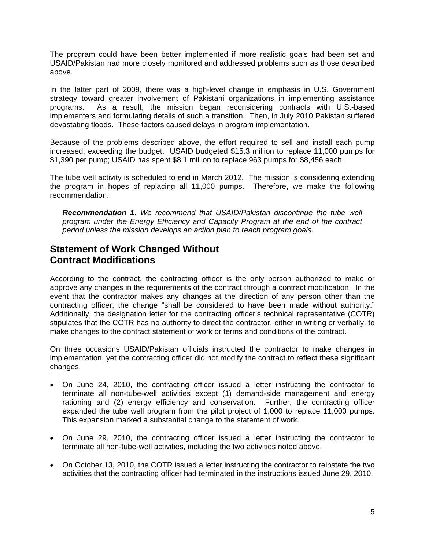The program could have been better implemented if more realistic goals had been set and USAID/Pakistan had more closely monitored and addressed problems such as those described above.

In the latter part of 2009, there was a high-level change in emphasis in U.S. Government strategy toward greater involvement of Pakistani organizations in implementing assistance programs. As a result, the mission began reconsidering contracts with U.S.-based implementers and formulating details of such a transition. Then, in July 2010 Pakistan suffered devastating floods. These factors caused delays in program implementation.

Because of the problems described above, the effort required to sell and install each pump increased, exceeding the budget. USAID budgeted \$15.3 million to replace 11,000 pumps for \$1,390 per pump; USAID has spent \$8.1 million to replace 963 pumps for \$8,456 each.

The tube well activity is scheduled to end in March 2012. The mission is considering extending the program in hopes of replacing all 11,000 pumps. Therefore, we make the following recommendation.

*Recommendation 1***.** *We recommend that USAID/Pakistan discontinue the tube well program under the Energy Efficiency and Capacity Program at the end of the contract period unless the mission develops an action plan to reach program goals.* 

#### **Statement of Work Changed Without Contract Modifications**

According to the contract, the contracting officer is the only person authorized to make or approve any changes in the requirements of the contract through a contract modification. In the event that the contractor makes any changes at the direction of any person other than the contracting officer, the change "shall be considered to have been made without authority." Additionally, the designation letter for the contracting officer's technical representative (COTR) stipulates that the COTR has no authority to direct the contractor, either in writing or verbally, to make changes to the contract statement of work or terms and conditions of the contract.

On three occasions USAID/Pakistan officials instructed the contractor to make changes in implementation, yet the contracting officer did not modify the contract to reflect these significant changes.

- On June 24, 2010, the contracting officer issued a letter instructing the contractor to terminate all non-tube-well activities except (1) demand-side management and energy rationing and (2) energy efficiency and conservation. Further, the contracting officer expanded the tube well program from the pilot project of 1,000 to replace 11,000 pumps. This expansion marked a substantial change to the statement of work.
- On June 29, 2010, the contracting officer issued a letter instructing the contractor to terminate all non-tube-well activities, including the two activities noted above.
- On October 13, 2010, the COTR issued a letter instructing the contractor to reinstate the two activities that the contracting officer had terminated in the instructions issued June 29, 2010.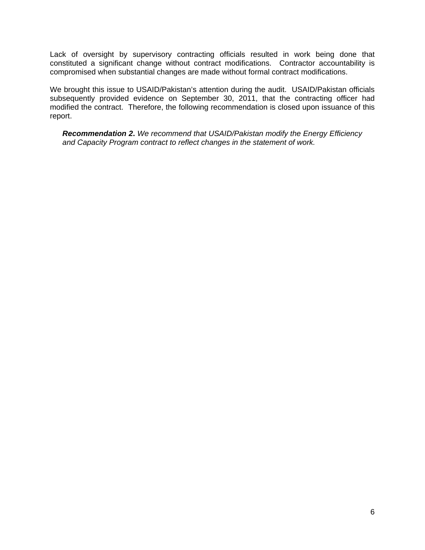Lack of oversight by supervisory contracting officials resulted in work being done that constituted a significant change without contract modifications. Contractor accountability is compromised when substantial changes are made without formal contract modifications.

We brought this issue to USAID/Pakistan's attention during the audit. USAID/Pakistan officials subsequently provided evidence on September 30, 2011, that the contracting officer had modified the contract. Therefore, the following recommendation is closed upon issuance of this report.

*Recommendation 2***.** *We recommend that USAID/Pakistan modify the Energy Efficiency and Capacity Program contract to reflect changes in the statement of work.*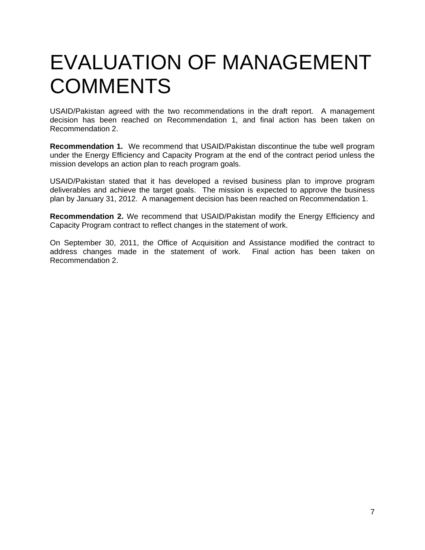### EVALUATION OF MANAGEMENT **COMMENTS**

USAID/Pakistan agreed with the two recommendations in the draft report. A management decision has been reached on Recommendation 1, and final action has been taken on Recommendation 2.

 **Recommendation 1.** We recommend that USAID/Pakistan discontinue the tube well program under the Energy Efficiency and Capacity Program at the end of the contract period unless the mission develops an action plan to reach program goals.

USAID/Pakistan stated that it has developed a revised business plan to improve program deliverables and achieve the target goals. The mission is expected to approve the business plan by January 31, 2012. A management decision has been reached on Recommendation 1.

**Recommendation 2.** We recommend that USAID/Pakistan modify the Energy Efficiency and Capacity Program contract to reflect changes in the statement of work.

On September 30, 2011, the Office of Acquisition and Assistance modified the contract to address changes made in the statement of work. Final action has been taken on Recommendation 2.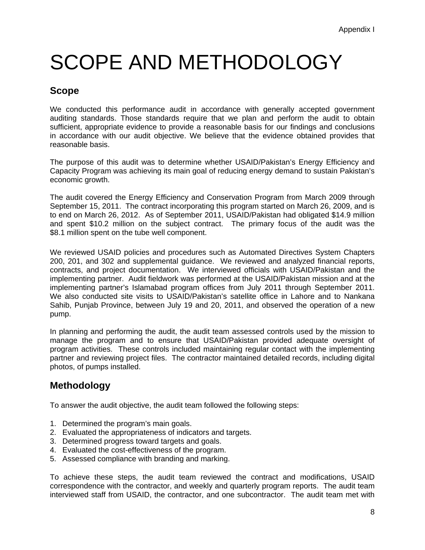## SCOPE AND METHODOLOGY

### **Scope**

We conducted this performance audit in accordance with generally accepted government auditing standards. Those standards require that we plan and perform the audit to obtain sufficient, appropriate evidence to provide a reasonable basis for our findings and conclusions in accordance with our audit objective. We believe that the evidence obtained provides that reasonable basis.

The purpose of this audit was to determine whether USAID/Pakistan's Energy Efficiency and Capacity Program was achieving its main goal of reducing energy demand to sustain Pakistan's economic growth.

The audit covered the Energy Efficiency and Conservation Program from March 2009 through September 15, 2011. The contract incorporating this program started on March 26, 2009, and is to end on March 26, 2012. As of September 2011, USAID/Pakistan had obligated \$14.9 million and spent \$10.2 million on the subject contract. The primary focus of the audit was the \$8.1 million spent on the tube well component.

implementing partner's Islamabad program offices from July 2011 through September 2011. pump. We reviewed USAID policies and procedures such as Automated Directives System Chapters 200, 201, and 302 and supplemental guidance. We reviewed and analyzed financial reports, contracts, and project documentation. We interviewed officials with USAID/Pakistan and the implementing partner. Audit fieldwork was performed at the USAID/Pakistan mission and at the We also conducted site visits to USAID/Pakistan's satellite office in Lahore and to Nankana Sahib, Punjab Province, between July 19 and 20, 2011, and observed the operation of a new

In planning and performing the audit, the audit team assessed controls used by the mission to manage the program and to ensure that USAID/Pakistan provided adequate oversight of program activities. These controls included maintaining regular contact with the implementing partner and reviewing project files. The contractor maintained detailed records, including digital photos, of pumps installed.

#### **Methodology**

To answer the audit objective, the audit team followed the following steps:

- 1. Determined the program's main goals.
- 2. Evaluated the appropriateness of indicators and targets.
- 3. Determined progress toward targets and goals.
- 4. Evaluated the cost-effectiveness of the program.
- 5. Assessed compliance with branding and marking.

To achieve these steps, the audit team reviewed the contract and modifications, USAID correspondence with the contractor, and weekly and quarterly program reports. The audit team interviewed staff from USAID, the contractor, and one subcontractor. The audit team met with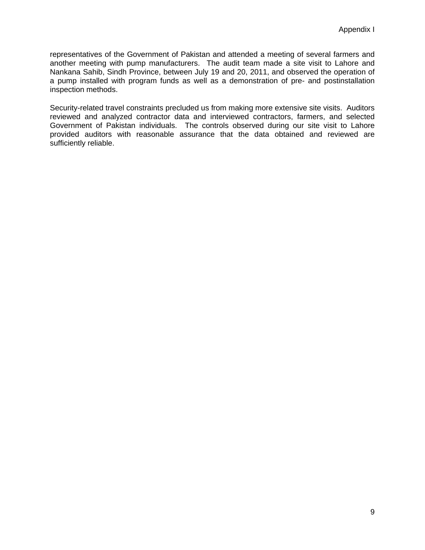representatives of the Government of Pakistan and attended a meeting of several farmers and another meeting with pump manufacturers. The audit team made a site visit to Lahore and Nankana Sahib, Sindh Province, between July 19 and 20, 2011, and observed the operation of a pump installed with program funds as well as a demonstration of pre- and postinstallation inspection methods.

Security-related travel constraints precluded us from making more extensive site visits. Auditors reviewed and analyzed contractor data and interviewed contractors, farmers, and selected Government of Pakistan individuals. The controls observed during our site visit to Lahore provided auditors with reasonable assurance that the data obtained and reviewed are sufficiently reliable.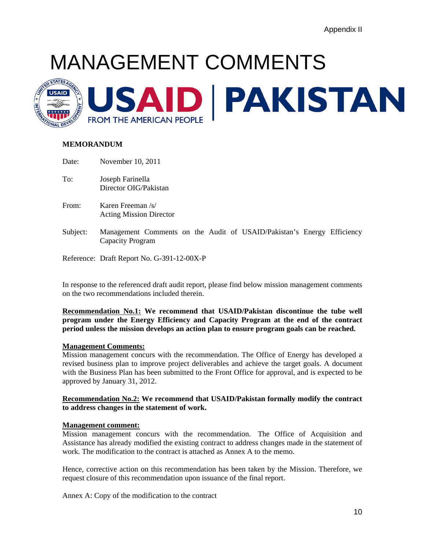## <span id="page-12-0"></span>MANAGEMENT COMMENTS



#### **MEMORANDUM**

| Date: | November 10, 2011                                   |
|-------|-----------------------------------------------------|
| To:   | Joseph Farinella<br>Director OIG/Pakistan           |
| From: | Karen Freeman /s/<br><b>Acting Mission Director</b> |
|       | Subject: Management Comments on the Audit of USA    |

**SHD/Pakistan's Energy Efficiency** Capacity Program

Reference: Draft Report No. G-391-12-00X-P

In response to the referenced draft audit report, please find below mission management comments on the two recommendations included therein.

**Recommendation No.1: We recommend that USAID/Pakistan discontinue the tube well program under the Energy Efficiency and Capacity Program at the end of the contract period unless the mission develops an action plan to ensure program goals can be reached.** 

#### **Management Comments:**

Mission management concurs with the recommendation. The Office of Energy has developed a revised business plan to improve project deliverables and achieve the target goals. A document with the Business Plan has been submitted to the Front Office for approval, and is expected to be approved by January 31, 2012.

#### **Recommendation No.2: We recommend that USAID/Pakistan formally modify the contract to address changes in the statement of work.**

#### **Management comment:**

Mission management concurs with the recommendation. The Office of Acquisition and Assistance has already modified the existing contract to address changes made in the statement of work. The modification to the contract is attached as Annex A to the memo.

Hence, corrective action on this recommendation has been taken by the Mission. Therefore, we request closure of this recommendation upon issuance of the final report.

Annex A: Copy of the modification to the contract